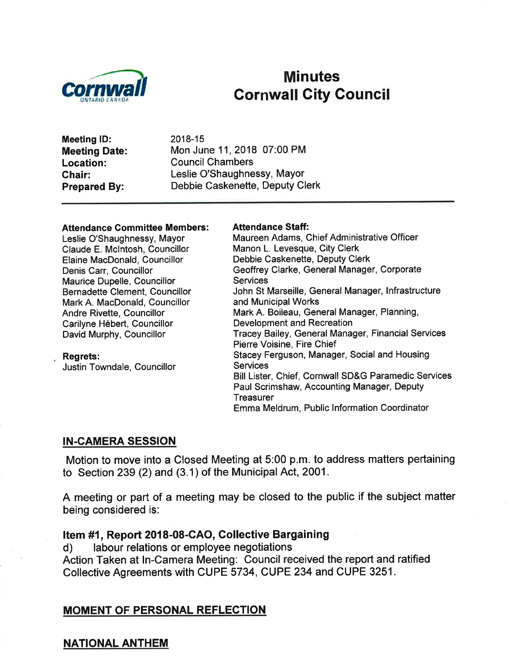

# **Minutes** Gornwall Gity Gouncil

Meeting lD: Meeting Date: Location: Ghair: Prepared By:

2018-15 Mon June 11,2018 07:00 PM Council Chambers Leslie O'Shaughnessy, Mayor Debbie Caskenette, Deputy Clerk

#### **Attendance Committee Members:**

Leslie O'Shaughnessy, Mayor Claude E. Mclntosh, Councillor Elaine MacDonald, Councillor Denis Carr, Councillor Maurice Dupelle, Councillor Bernadette Clement, Councillor Mark A. MacDonald, Councillor Andre Rivette, Councillor Carilyne Hébert, Councillor David Murphy, Councillor

Regrets: Justin Towndale, Councillor

#### Attendance Staff:

Maureen Adams, Chief Administrative Officer Manon L. Levesque, City Clerk Debbie Caskenette, Deputy Clerk Geoffrey Clarke, General Manager, Corporate **Services** John St Marseille, General Manager, lnfrastructure and Municipal Works Mark A. Boileau, General Manager, Planning, Development and Recreation Tracey Bailey, General Manager, Financial Services Pierre Voisine, Fire Chief Stacey Ferguson, Manager, Social and Housing **Services** Bill Lister, Chief, Cornwall SD&G Paramedic Services Paul Scrimshaw, Accounting Manager, Deputy **Treasurer** Emma Meldrum, Public lnformation Coordinator

#### IN-CAMERA SESSION

Motion to move into a Closed Meeting at 5:00 p.m. to address matters pertaining to Section 239 (2) and (3.1) of the Municipal Act, 2001 .

A meeting or part of a meeting may be closed to the public if the subject matter being considered is:

#### Item #1, Report 2018-08-CAO, Gollective Bargaining

d) labour relations or employee negotiations Action Taken at ln-Camera Meeting: Council received the report and ratified Collective Agreements with CUPE 5734, CUPE 234 and CUPE 3251 .

#### MOMENT OF PERSONAL REFLECTION

#### NATIONAL ANTHEM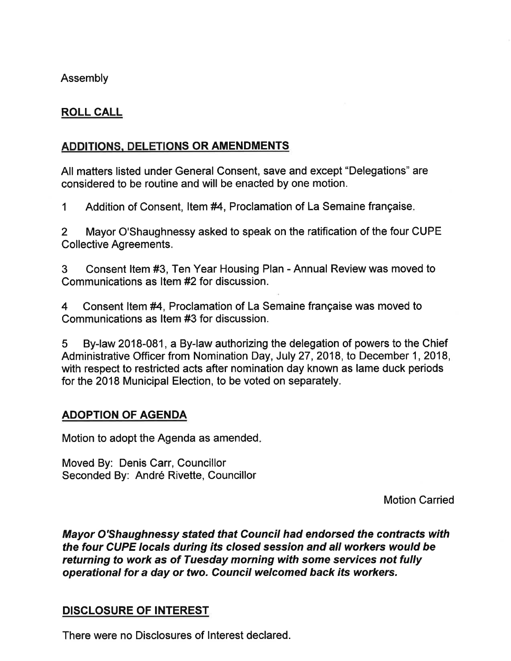## Assembly

## ROLL CALL

## ADDITIONS. DELETIONS OR AMENDMENTS

All matters listed under General Consent, save and except "Delegations" are considered to be routine and will be enacted by one motion.

1 Addition of Consent, Item #4, Proclamation of La Semaine française.

2 Mayor O'Shaughnessy asked to speak on the ratification of the four CUPE Collective Agreements.

3 Consent ltem #3, Ten Year Housing Plan - Annual Review was moved to Communications as Item #2 for discussion.

4 Consent ltem #4, Proclamation of La Semaine française was moved to Communications as ltem #3 for discussion.

5 By-law 2018-081, a By-law authorizing the delegation of powers to the Chief Administrative Officer from Nomination Day, July 27, 2018, to December 1, 2018, with respect to restricted acts after nomination day known as lame duck periods for the 2018 Municipal Election, to be voted on separately.

## ADOPTION OF AGENDA

Motion to adopt the Agenda as amended

Moved By: Denis Carr, Councillor Seconded By: André Rivette, Councillor

Motion Carried

Mayor O'Shaughnessy stated that Council had endorsed the contracts with the four CUPE locals during its closed session and all workers would be returning to work as of Tuesday morning with some services nof fully operational for a day or two, Council welcomed back its workers.

## DISCLOSURE OF INTEREST

There were no Disclosures of lnterest declared.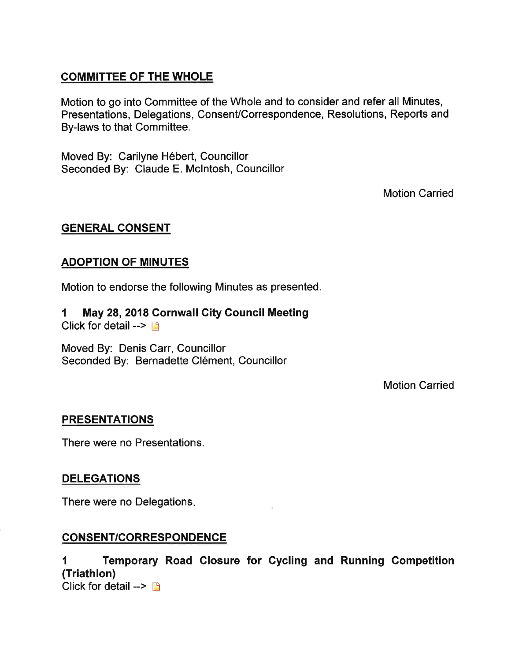## COMMITTEE OF THE WHOLE

Motion to go into Committee of the Whole and to consider and refer all Minutes, Presentations, Delegations, Consent/Correspondence, Resolutions, Reports and By-laws to that Committee.

Moved By: Carilyne Hébert, Gouncillor Seconded By: Claude E. Mclntosh, Councillor

Motion Carried

## GENERAL CONSENT

## ADOPTION OF MINUTES

Motion to endorse the following Minutes as presented.

1 May 28,2018 Cornwall City Gouncil Meeting Click for detail  $\rightarrow$  n

Moved By: Denis Carr, Councillor Seconded By: Bernadette Clément, Councillor

Motion Carried

## PRESENTATIONS

There were no Presentations.

## DELEGATIONS

There were no Delegations

## CONSENT/CORRESPONDENCE

1 Temporary Road Closure for Cycling and Running Competition (Triathlon) Click for detail  $\rightarrow \Box$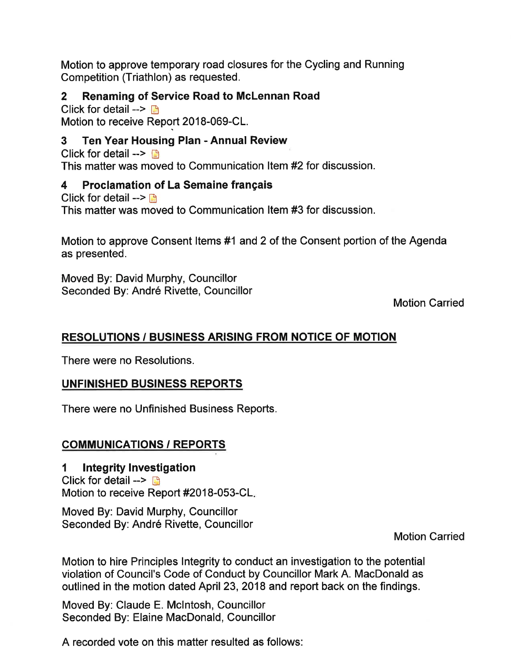Motion to approve temporary road closures for the Cycling and Running Competition (Triathlon) as requested.

## 2 Renaming of Service Road to McLennan Road

Click for detail  $\rightarrow$  B Motion to receive Report 2018-069-CL.

## 3 Ten Year Housing Plan - Annual Review

Click for detail  $\rightarrow$ This matter was moved to Communication ltem#2 for discussion.

## 4 Proclamation of La Semaine français

Click for detail  $\rightarrow \blacksquare$ This matter was moved to Communication ltem #3 for discussion.

Motion to approve Consent ltems #1 and 2 of the Consent portion of the Agenda as presented.

Moved By: David Murphy, Councillor Seconded By: André Rivette, Councillor

Motion Carried

## RESOLUTIONS / BUSINESS ARISING FROM NOTICE OF MOTION

There were no Resolutions.

## UNFINISHED BUSINESS REPORTS

There were no Unfinished Business Reports.

## COMMUNIGATIONS / REPORTS

I lntegrity lnvestigation Click for detail  $\rightarrow$  D Motion to receive Report #2018-053-CL

Moved By: David Murphy, Councillor Seconded By: André Rivette, Councillor

Motion Carried

Motion to hire Principles Integrity to conduct an investigation to the potential violation of Council's Code of Conduct by Councillor Mark A. MacDonald as outlined in the motion dated April 23,2018 and report back on the findings.

Moved By: Claude E. Mclntosh, Councillor Seconded By: Elaine MacDonald, Councillor

A recorded vote on this matter resulted as follows: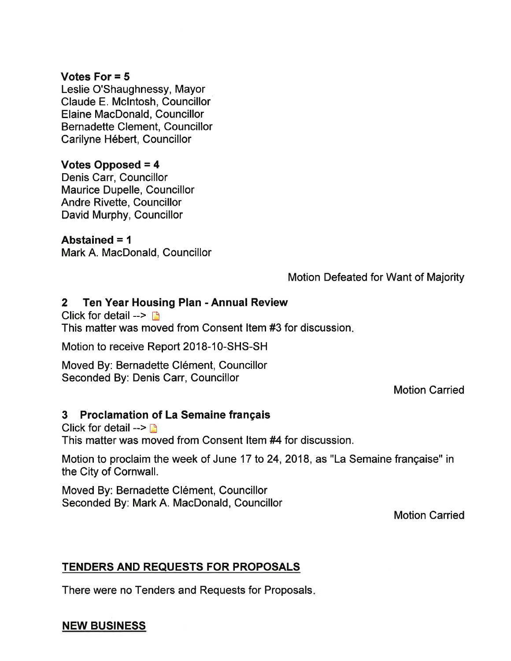### Votes For = 5

Leslie O'Shaughnessy, Mayor Claude E. Mclntosh, Councillor Elaine MacDonald, Councillor Bernadette Clement, Councillor Carilyne Hébert, Councillor

## Votes Opposed = 4

Denis Carr, Councillor Maurice Dupelle, Councillor Andre Rivette, Councillor David Murphy, Councillor

### Abstained = <sup>1</sup>

Mark A. MacDonald, Councillor

## Motion Defeated for Want of Majority

## 2 Ten Year Housing Plan - Annual Review

Click for detail  $\rightarrow$  n

This matter was moved from Consent ltem #3 for discussion

Motion to receive Report 2018-10-5HS-SH

Moved By: Bernadette Clément, Councillor Seconded By: Denis Carr, Councillor

Motion Carried

## 3 Proclamation of La Semaine français

Click for detail  $\rightarrow$  n This matter was moved from Consent ltem #4 for discussion.

Motion to proclaim the week of June 17 to 24, 2018, as "La Semaine française" in the City of Cornwall.

Moved By: Bernadette Clément, Councillor Seconded By: Mark A. MacDonald, Councillor

Motion Carried

## TENDERS AND REQUESTS FOR PROPOSALS

There were no Tenders and Requests for Proposals

## NEW BUSINESS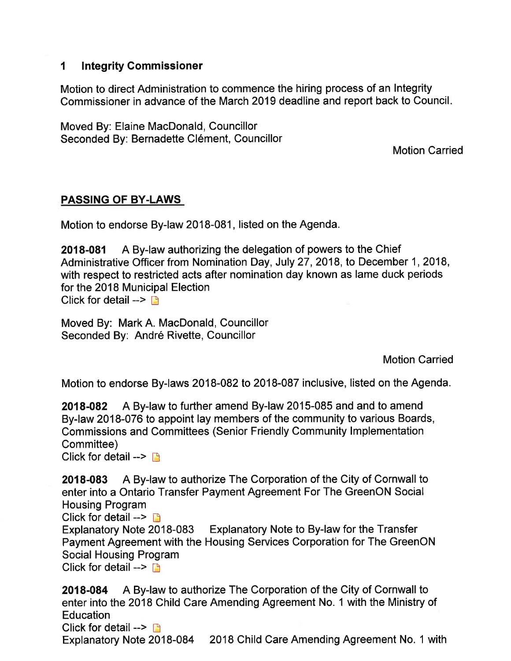## I lntegrity Gommissioner

Motion to direct Administration to commence the hiring process of an Integrity Commissioner in advance of the March 2019 deadline and report back to Council

Moved By: Elaine MacDonald, Councillor Seconded By: Bernadette Clément, Councillor

Motion Carried

## PASSING OF BY-LAWS

Motion to endorse By-law 2018-081, listed on the Agenda.

2018-081 A By-law authorizing the delegation of powers to the Chief Administrative Officer from Nomination Day, July 27,2018, to December 1,2018, with respect to restricted acts after nomination day known as lame duck periods for the 2018 Municipal Election Click for detail  $\rightarrow$   $\rightarrow$ 

Moved By: Mark A. MacDonald, Councillor Seconded By: André Rivette, Councillor

Motion Carried

Motion to endorse By-laws 2018-082 to 2018-087 inclusive, listed on the Agenda.

2018-082 A By-law to further amend By-law 2015-085 and and to amend By-law 2018-076 to appoint lay members of the community to various Boards, Commissions and Committees (Senior Friendly Community lmplementation Committee)

Click for detail  $\rightarrow$   $\rightarrow$ 

2018-083 A By-law to authorize The Corporation of the City of Cornwall to enter into a Ontario Transfer Payment Agreement For The GreenON Social Housing Program

Click for detail -->  $\Box$ <br>Explanatory Note 2018-083 Explanatory Note to By-law for the Transfer Payment Agreement with the Housing Services Corporation for The GreenON Social Housing Program

Click for detail  $\rightarrow$   $\rightarrow$ 

2018-084 A By-law to authorize The Corporation of the City of Cornwall to enter into the 2018 Child Care Amending Agreement No. 1 with the Ministry of Education Click for detail  $\rightarrow \rightarrow$ Explanatory Note 2018-084 2018 Child Care Amending Agreement No. 1 with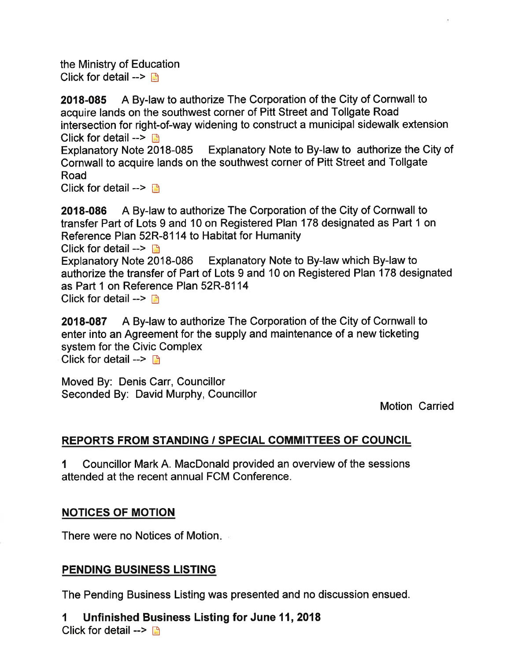the Ministry of Education Click for detail  $\rightarrow$ 

2018-085 A By-law to authorize The Corporation of the City of Cornwall to acquire lands on the southwest corner of Pitt Street and Tollgate Road intersection for right-of-way widening to construct a municipal sidewalk extension Click for detail  $\rightarrow \Box$ 

Explanatory Note 2018-085 Explanatory Note to By-law to authorize the City of Cornwall to acquire lands on the southwest corner of Pitt Street and Tollgate Road

Click for detail  $\rightarrow \Box$ 

2018-086 A By-law to authorize The Corporation of the City of Cornwall to transfer Part of Lots 9 and 10 on Registered Plan 178 designated as Part 1 on Reference Plan 52R-81 14 to Habitat for Humanity Click for detail  $\rightarrow \mathbb{D}$ Explanatory Note 2018-086 Explanatory Note to By-law which By-law to authorize the transfer of Part of Lots 9 and 10 on Registered Plan 178 designated as Part 1 on Reference Plan 52R-8114 Click for detail  $\rightarrow$  n

2018-087 A By-law to authorize The Corporation of the City of Cornwall to enter into an Agreement for the supply and maintenance of a new ticketing system for the Civic Complex Click for detail  $\rightarrow$  n

Moved By: Denis Carr, Councillor Seconded By: David Murphy, Councillor

Motion Carried

## REPORTS FROM STANDING / SPECIAL COMMITTEES OF GOUNCIL

I Councillor Mark A. MacDonald provided an overview of the sessions attended at the recent annual FCM Conference.

## NOTICES OF MOTION

There were no Notices of Motion

## PENDING BUSINESS LISTING

The Pending Business Listing was presented and no discussion ensued.

1 Unfinished Business Listing for June 11,2018 Click for detail -->  $\Box$